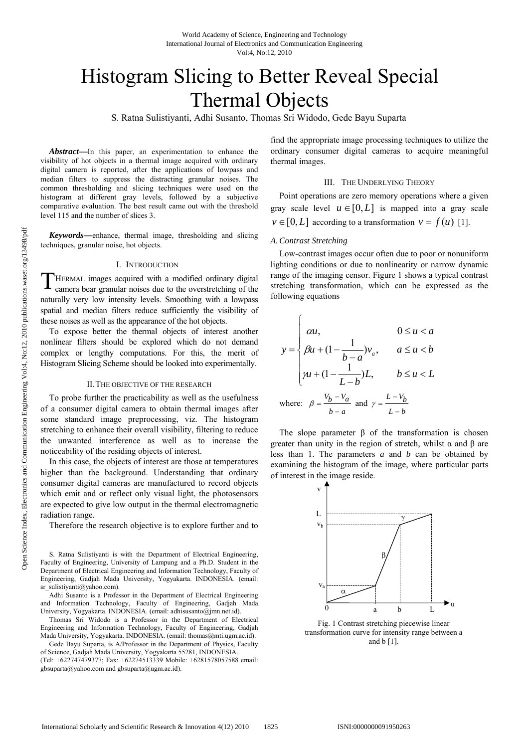# Histogram Slicing to Better Reveal Special Thermal Objects

S. Ratna Sulistiyanti, Adhi Susanto, Thomas Sri Widodo, Gede Bayu Suparta

*Abstract***—**In this paper, an experimentation to enhance the visibility of hot objects in a thermal image acquired with ordinary digital camera is reported, after the applications of lowpass and median filters to suppress the distracting granular noises. The common thresholding and slicing techniques were used on the histogram at different gray levels, followed by a subjective comparative evaluation. The best result came out with the threshold level 115 and the number of slices 3.

*Keywords***—**enhance, thermal image, thresholding and slicing techniques, granular noise, hot objects.

## I. INTRODUCTION

THERMAL images acquired with a modified ordinary digital camera bear granular noises due to the overstretching of the camera bear granular noises due to the overstretching of the naturally very low intensity levels. Smoothing with a lowpass spatial and median filters reduce sufficiently the visibility of these noises as well as the appearance of the hot objects.

To expose better the thermal objects of interest another nonlinear filters should be explored which do not demand complex or lengthy computations. For this, the merit of Histogram Slicing Scheme should be looked into experimentally.

#### II.THE OBJECTIVE OF THE RESEARCH

To probe further the practicability as well as the usefulness of a consumer digital camera to obtain thermal images after some standard image preprocessing, viz. The histogram stretching to enhance their overall visibility, filtering to reduce the unwanted interference as well as to increase the noticeability of the residing objects of interest.

In this case, the objects of interest are those at temperatures higher than the background. Understanding that ordinary consumer digital cameras are manufactured to record objects which emit and or reflect only visual light, the photosensors are expected to give low output in the thermal electromagnetic radiation range.

Therefore the research objective is to explore further and to

Adhi Susanto is a Professor in the Department of Electrical Engineering and Information Technology, Faculty of Engineering, Gadjah Mada University, Yogyakarta. INDONESIA. (email: adhisusanto@jmn.net.id).

Thomas Sri Widodo is a Professor in the Department of Electrical Engineering and Information Technology, Faculty of Engineering, Gadjah Mada University, Yogyakarta. INDONESIA. (email: thomas@mti.ugm.ac.id).

Gede Bayu Suparta, is A/Professor in the Department of Physics, Faculty of Science, Gadjah Mada University, Yogyakarta 55281, INDONESIA. (Tel: +622747479377; Fax: +62274513339 Mobile: +6281578057588 email:

gbsuparta@yahoo.com and gbsuparta@ugm.ac.id).

find the appropriate image processing techniques to utilize the ordinary consumer digital cameras to acquire meaningful thermal images.

## III. THE UNDERLYING THEORY

Point operations are zero memory operations where a given gray scale level  $u \in [0, L]$  is mapped into a gray scale  $v \in [0, L]$  according to a transformation  $v = f(u)$  [1].

## *A.Contrast Stretching*

 $\sqrt{ }$ 

Low-contrast images occur often due to poor or nonuniform lighting conditions or due to nonlinearity or narrow dynamic range of the imaging censor. Figure 1 shows a typical contrast stretching transformation, which can be expressed as the following equations

$$
y = \begin{cases} \alpha u, & 0 \le u < a \\ \beta u + (1 - \frac{1}{b - a})v_a, & a \le u < b \\ \gamma u + (1 - \frac{1}{L - b})L, & b \le u < L \end{cases}
$$
  
where:  $\beta = \frac{v_b - v_a}{b - a}$  and  $\gamma = \frac{L - v_b}{L - b}$ 

The slope parameter  $\beta$  of the transformation is chosen greater than unity in the region of stretch, whilst  $\alpha$  and  $\beta$  are less than 1. The parameters *a* and *b* can be obtained by examining the histogram of the image, where particular parts of interest in the image reside.



Fig. 1 Contrast stretching piecewise linear transformation curve for intensity range between a and b [1].

S. Ratna Sulistiyanti is with the Department of Electrical Engineering, Faculty of Engineering, University of Lampung and a Ph.D. Student in the Department of Electrical Engineering and Information Technology, Faculty of Engineering, Gadjah Mada University, Yogyakarta. INDONESIA. (email: sr\_sulistiyanti@yahoo.com).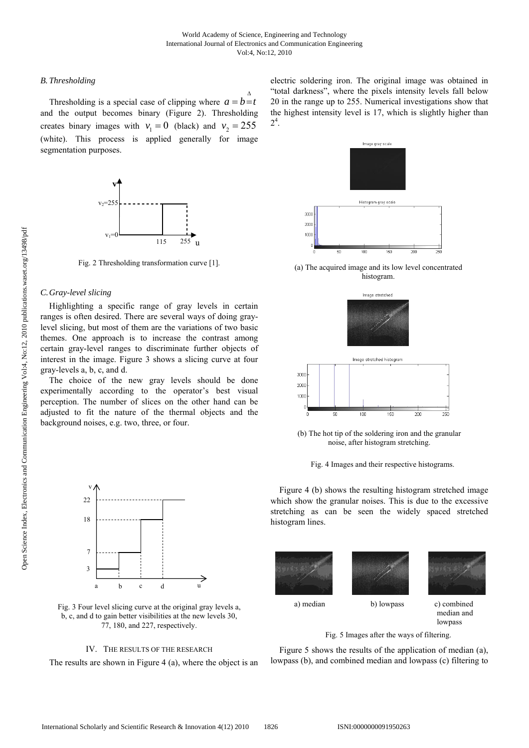# *B. Thresholding*

Thresholding is a special case of clipping where  $a = b = t$ Δ and the output becomes binary (Figure 2). Thresholding creates binary images with  $v_1 = 0$  (black) and  $v_2 = 255$ (white). This process is applied generally for image segmentation purposes.



Fig. 2 Thresholding transformation curve [1].

# *C.Gray-level slicing*

Highlighting a specific range of gray levels in certain ranges is often desired. There are several ways of doing graylevel slicing, but most of them are the variations of two basic themes. One approach is to increase the contrast among certain gray-level ranges to discriminate further objects of interest in the image. Figure 3 shows a slicing curve at four gray-levels a, b, c, and d.

The choice of the new gray levels should be done experimentally according to the operator's best visual perception. The number of slices on the other hand can be adjusted to fit the nature of the thermal objects and the background noises, e.g. two, three, or four.



Fig. 3 Four level slicing curve at the original gray levels a, b, c, and d to gain better visibilities at the new levels 30, 77, 180, and 227, respectively.

# IV. THE RESULTS OF THE RESEARCH

The results are shown in Figure 4 (a), where the object is an

electric soldering iron. The original image was obtained in "total darkness", where the pixels intensity levels fall below 20 in the range up to 255. Numerical investigations show that the highest intensity level is 17, which is slightly higher than  $2^4$ .



(a) The acquired image and its low level concentrated histogram.



(b) The hot tip of the soldering iron and the granular noise, after histogram stretching.

Fig. 4 Images and their respective histograms.

Figure 4 (b) shows the resulting histogram stretched image which show the granular noises. This is due to the excessive stretching as can be seen the widely spaced stretched histogram lines.







 a) median b) lowpass c) combined median and

lowpass

Fig. 5 Images after the ways of filtering.

Figure 5 shows the results of the application of median (a), lowpass (b), and combined median and lowpass (c) filtering to